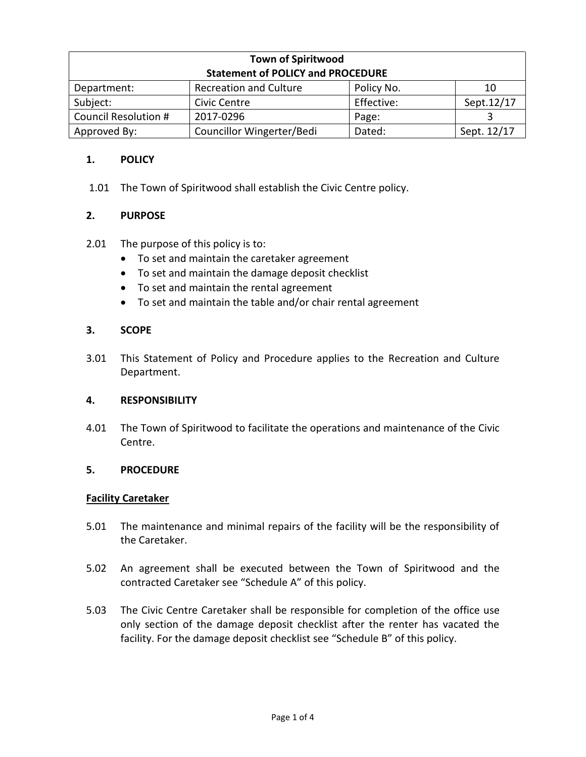| <b>Town of Spiritwood</b>                |                               |            |             |
|------------------------------------------|-------------------------------|------------|-------------|
| <b>Statement of POLICY and PROCEDURE</b> |                               |            |             |
| Department:                              | <b>Recreation and Culture</b> | Policy No. | 10          |
| Subject:                                 | Civic Centre                  | Effective: | Sept.12/17  |
| Council Resolution #                     | 2017-0296                     | Page:      |             |
| Approved By:                             | Councillor Wingerter/Bedi     | Dated:     | Sept. 12/17 |

# **1. POLICY**

1.01 The Town of Spiritwood shall establish the Civic Centre policy.

# **2. PURPOSE**

- 2.01 The purpose of this policy is to:
	- To set and maintain the caretaker agreement
	- To set and maintain the damage deposit checklist
	- To set and maintain the rental agreement
	- To set and maintain the table and/or chair rental agreement

## **3. SCOPE**

3.01 This Statement of Policy and Procedure applies to the Recreation and Culture Department.

## **4. RESPONSIBILITY**

4.01 The Town of Spiritwood to facilitate the operations and maintenance of the Civic Centre.

## **5. PROCEDURE**

#### **Facility Caretaker**

- 5.01 The maintenance and minimal repairs of the facility will be the responsibility of the Caretaker.
- 5.02 An agreement shall be executed between the Town of Spiritwood and the contracted Caretaker see "Schedule A" of this policy.
- 5.03 The Civic Centre Caretaker shall be responsible for completion of the office use only section of the damage deposit checklist after the renter has vacated the facility. For the damage deposit checklist see "Schedule B" of this policy.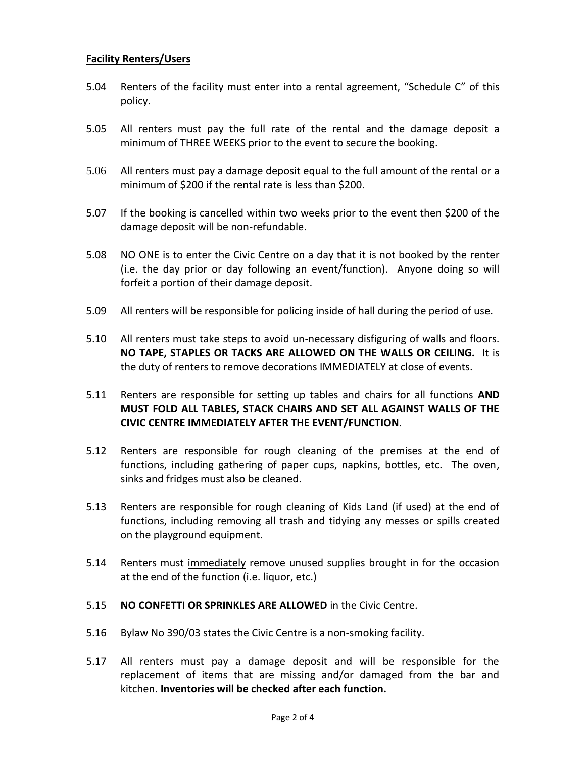## **Facility Renters/Users**

- 5.04 Renters of the facility must enter into a rental agreement, "Schedule C" of this policy.
- 5.05 All renters must pay the full rate of the rental and the damage deposit a minimum of THREE WEEKS prior to the event to secure the booking.
- 5.06 All renters must pay a damage deposit equal to the full amount of the rental or a minimum of \$200 if the rental rate is less than \$200.
- 5.07 If the booking is cancelled within two weeks prior to the event then \$200 of the damage deposit will be non-refundable.
- 5.08 NO ONE is to enter the Civic Centre on a day that it is not booked by the renter (i.e. the day prior or day following an event/function). Anyone doing so will forfeit a portion of their damage deposit.
- 5.09 All renters will be responsible for policing inside of hall during the period of use.
- 5.10 All renters must take steps to avoid un-necessary disfiguring of walls and floors. **NO TAPE, STAPLES OR TACKS ARE ALLOWED ON THE WALLS OR CEILING.** It is the duty of renters to remove decorations IMMEDIATELY at close of events.
- 5.11 Renters are responsible for setting up tables and chairs for all functions **AND MUST FOLD ALL TABLES, STACK CHAIRS AND SET ALL AGAINST WALLS OF THE CIVIC CENTRE IMMEDIATELY AFTER THE EVENT/FUNCTION**.
- 5.12 Renters are responsible for rough cleaning of the premises at the end of functions, including gathering of paper cups, napkins, bottles, etc. The oven, sinks and fridges must also be cleaned.
- 5.13 Renters are responsible for rough cleaning of Kids Land (if used) at the end of functions, including removing all trash and tidying any messes or spills created on the playground equipment.
- 5.14 Renters must immediately remove unused supplies brought in for the occasion at the end of the function (i.e. liquor, etc.)
- 5.15 **NO CONFETTI OR SPRINKLES ARE ALLOWED** in the Civic Centre.
- 5.16 Bylaw No 390/03 states the Civic Centre is a non-smoking facility.
- 5.17 All renters must pay a damage deposit and will be responsible for the replacement of items that are missing and/or damaged from the bar and kitchen. **Inventories will be checked after each function.**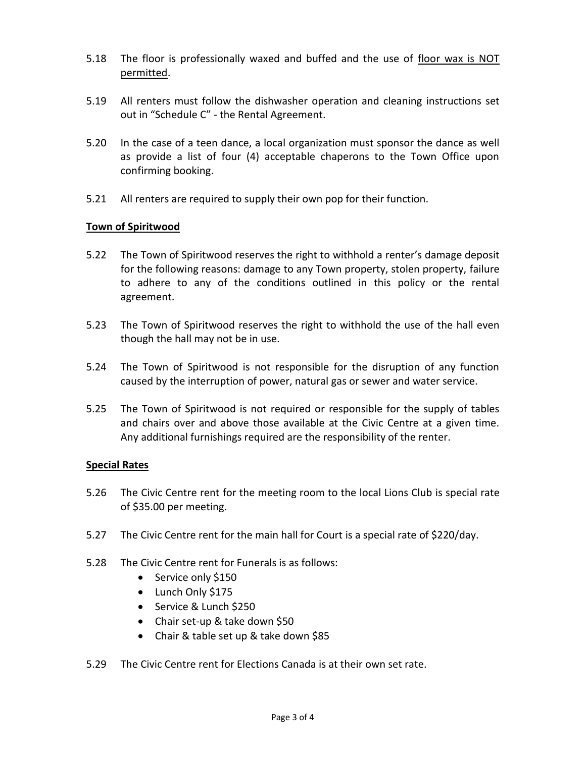- 5.18 The floor is professionally waxed and buffed and the use of floor wax is NOT permitted.
- 5.19 All renters must follow the dishwasher operation and cleaning instructions set out in "Schedule C" - the Rental Agreement.
- 5.20 In the case of a teen dance, a local organization must sponsor the dance as well as provide a list of four (4) acceptable chaperons to the Town Office upon confirming booking.
- 5.21 All renters are required to supply their own pop for their function.

## **Town of Spiritwood**

- 5.22 The Town of Spiritwood reserves the right to withhold a renter's damage deposit for the following reasons: damage to any Town property, stolen property, failure to adhere to any of the conditions outlined in this policy or the rental agreement.
- 5.23 The Town of Spiritwood reserves the right to withhold the use of the hall even though the hall may not be in use.
- 5.24 The Town of Spiritwood is not responsible for the disruption of any function caused by the interruption of power, natural gas or sewer and water service.
- 5.25 The Town of Spiritwood is not required or responsible for the supply of tables and chairs over and above those available at the Civic Centre at a given time. Any additional furnishings required are the responsibility of the renter.

## **Special Rates**

- 5.26 The Civic Centre rent for the meeting room to the local Lions Club is special rate of \$35.00 per meeting.
- 5.27 The Civic Centre rent for the main hall for Court is a special rate of \$220/day.
- 5.28 The Civic Centre rent for Funerals is as follows:
	- Service only \$150
	- Lunch Only \$175
	- Service & Lunch \$250
	- Chair set-up & take down \$50
	- Chair & table set up & take down \$85
- 5.29 The Civic Centre rent for Elections Canada is at their own set rate.